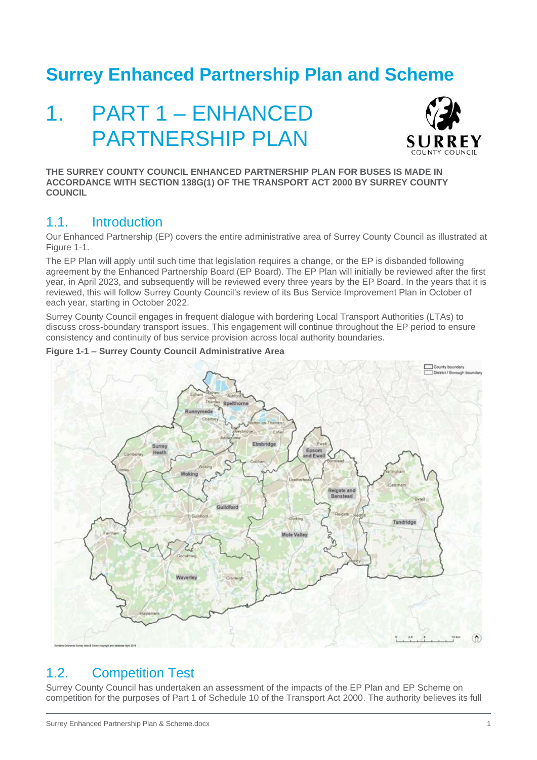# **Surrey Enhanced Partnership Plan and Scheme**

# 1. PART 1 – ENHANCED PARTNERSHIP PLAN



**THE SURREY COUNTY COUNCIL ENHANCED PARTNERSHIP PLAN FOR BUSES IS MADE IN ACCORDANCE WITH SECTION 138G(1) OF THE TRANSPORT ACT 2000 BY SURREY COUNTY COUNCIL** 

## 1.1. Introduction

Our Enhanced Partnership (EP) covers the entire administrative area of Surrey County Council as illustrated at Figure 1-1.

The EP Plan will apply until such time that legislation requires a change, or the EP is disbanded following agreement by the Enhanced Partnership Board (EP Board). The EP Plan will initially be reviewed after the first year, in April 2023, and subsequently will be reviewed every three years by the EP Board. In the years that it is reviewed, this will follow Surrey County Council's review of its Bus Service Improvement Plan in October of each year, starting in October 2022.

Surrey County Council engages in frequent dialogue with bordering Local Transport Authorities (LTAs) to discuss cross-boundary transport issues. This engagement will continue throughout the EP period to ensure consistency and continuity of bus service provision across local authority boundaries.



**Figure 1-1 – Surrey County Council Administrative Area**

# 1.2. Competition Test

Surrey County Council has undertaken an assessment of the impacts of the EP Plan and EP Scheme on competition for the purposes of Part 1 of Schedule 10 of the Transport Act 2000. The authority believes its full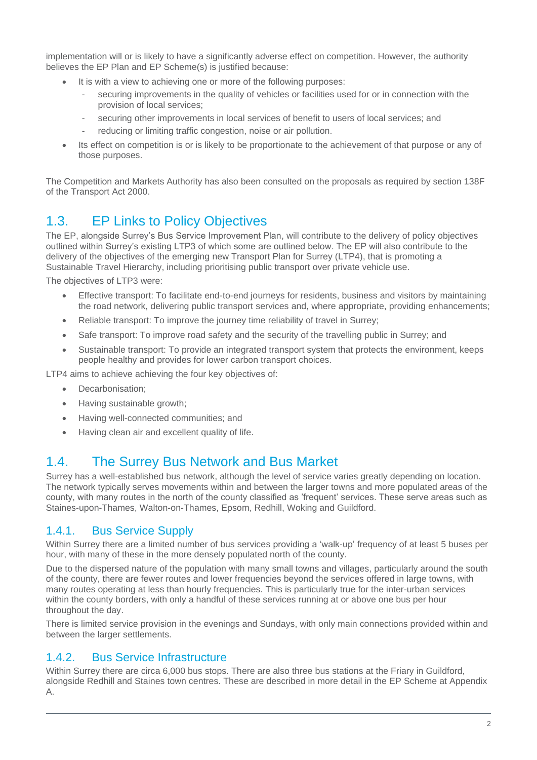implementation will or is likely to have a significantly adverse effect on competition. However, the authority believes the EP Plan and EP Scheme(s) is justified because:

- It is with a view to achieving one or more of the following purposes:
	- securing improvements in the quality of vehicles or facilities used for or in connection with the provision of local services;
	- securing other improvements in local services of benefit to users of local services; and
	- reducing or limiting traffic congestion, noise or air pollution.
- Its effect on competition is or is likely to be proportionate to the achievement of that purpose or any of those purposes.

The Competition and Markets Authority has also been consulted on the proposals as required by section 138F of the Transport Act 2000.

# 1.3. EP Links to Policy Objectives

The EP, alongside Surrey's Bus Service Improvement Plan, will contribute to the delivery of policy objectives outlined within Surrey's existing LTP3 of which some are outlined below. The EP will also contribute to the delivery of the objectives of the emerging new Transport Plan for Surrey (LTP4), that is promoting a Sustainable Travel Hierarchy, including prioritising public transport over private vehicle use.

The objectives of LTP3 were:

- Effective transport: To facilitate end-to-end journeys for residents, business and visitors by maintaining the road network, delivering public transport services and, where appropriate, providing enhancements;
- Reliable transport: To improve the journey time reliability of travel in Surrey;
- Safe transport: To improve road safety and the security of the travelling public in Surrey; and
- Sustainable transport: To provide an integrated transport system that protects the environment, keeps people healthy and provides for lower carbon transport choices.

LTP4 aims to achieve achieving the four key objectives of:

- Decarbonisation:
- Having sustainable growth;
- Having well-connected communities; and
- Having clean air and excellent quality of life.

## 1.4. The Surrey Bus Network and Bus Market

Surrey has a well-established bus network, although the level of service varies greatly depending on location. The network typically serves movements within and between the larger towns and more populated areas of the county, with many routes in the north of the county classified as 'frequent' services. These serve areas such as Staines-upon-Thames, Walton-on-Thames, Epsom, Redhill, Woking and Guildford.

## 1.4.1. Bus Service Supply

Within Surrey there are a limited number of bus services providing a 'walk-up' frequency of at least 5 buses per hour, with many of these in the more densely populated north of the county.

Due to the dispersed nature of the population with many small towns and villages, particularly around the south of the county, there are fewer routes and lower frequencies beyond the services offered in large towns, with many routes operating at less than hourly frequencies. This is particularly true for the inter-urban services within the county borders, with only a handful of these services running at or above one bus per hour throughout the day.

There is limited service provision in the evenings and Sundays, with only main connections provided within and between the larger settlements.

## 1.4.2. Bus Service Infrastructure

Within Surrey there are circa 6,000 bus stops. There are also three bus stations at the Friary in Guildford, alongside Redhill and Staines town centres. These are described in more detail in the EP Scheme at Appendix A.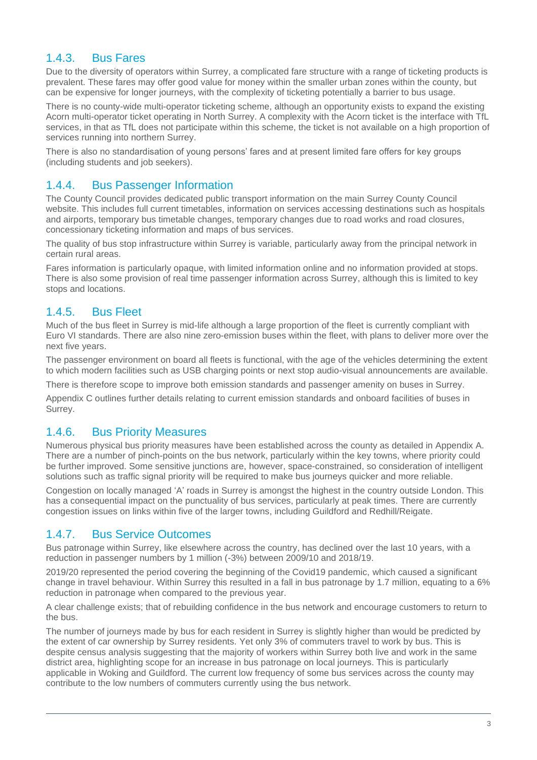## 1.4.3. Bus Fares

Due to the diversity of operators within Surrey, a complicated fare structure with a range of ticketing products is prevalent. These fares may offer good value for money within the smaller urban zones within the county, but can be expensive for longer journeys, with the complexity of ticketing potentially a barrier to bus usage.

There is no county-wide multi-operator ticketing scheme, although an opportunity exists to expand the existing Acorn multi-operator ticket operating in North Surrey. A complexity with the Acorn ticket is the interface with TfL services, in that as TfL does not participate within this scheme, the ticket is not available on a high proportion of services running into northern Surrey.

There is also no standardisation of young persons' fares and at present limited fare offers for key groups (including students and job seekers).

## 1.4.4. Bus Passenger Information

The County Council provides dedicated public transport information on the main Surrey County Council website. This includes full current timetables, information on services accessing destinations such as hospitals and airports, temporary bus timetable changes, temporary changes due to road works and road closures, concessionary ticketing information and maps of bus services.

The quality of bus stop infrastructure within Surrey is variable, particularly away from the principal network in certain rural areas.

Fares information is particularly opaque, with limited information online and no information provided at stops. There is also some provision of real time passenger information across Surrey, although this is limited to key stops and locations.

## 1.4.5. Bus Fleet

Much of the bus fleet in Surrey is mid-life although a large proportion of the fleet is currently compliant with Euro VI standards. There are also nine zero-emission buses within the fleet, with plans to deliver more over the next five years.

The passenger environment on board all fleets is functional, with the age of the vehicles determining the extent to which modern facilities such as USB charging points or next stop audio-visual announcements are available.

There is therefore scope to improve both emission standards and passenger amenity on buses in Surrey.

Appendix C outlines further details relating to current emission standards and onboard facilities of buses in Surrey.

## 1.4.6. Bus Priority Measures

Numerous physical bus priority measures have been established across the county as detailed in Appendix A. There are a number of pinch-points on the bus network, particularly within the key towns, where priority could be further improved. Some sensitive junctions are, however, space-constrained, so consideration of intelligent solutions such as traffic signal priority will be required to make bus journeys quicker and more reliable.

Congestion on locally managed 'A' roads in Surrey is amongst the highest in the country outside London. This has a consequential impact on the punctuality of bus services, particularly at peak times. There are currently congestion issues on links within five of the larger towns, including Guildford and Redhill/Reigate.

## 1.4.7. Bus Service Outcomes

Bus patronage within Surrey, like elsewhere across the country, has declined over the last 10 years, with a reduction in passenger numbers by 1 million (-3%) between 2009/10 and 2018/19.

2019/20 represented the period covering the beginning of the Covid19 pandemic, which caused a significant change in travel behaviour. Within Surrey this resulted in a fall in bus patronage by 1.7 million, equating to a 6% reduction in patronage when compared to the previous year.

A clear challenge exists; that of rebuilding confidence in the bus network and encourage customers to return to the bus.

The number of journeys made by bus for each resident in Surrey is slightly higher than would be predicted by the extent of car ownership by Surrey residents. Yet only 3% of commuters travel to work by bus. This is despite census analysis suggesting that the majority of workers within Surrey both live and work in the same district area, highlighting scope for an increase in bus patronage on local journeys. This is particularly applicable in Woking and Guildford. The current low frequency of some bus services across the county may contribute to the low numbers of commuters currently using the bus network.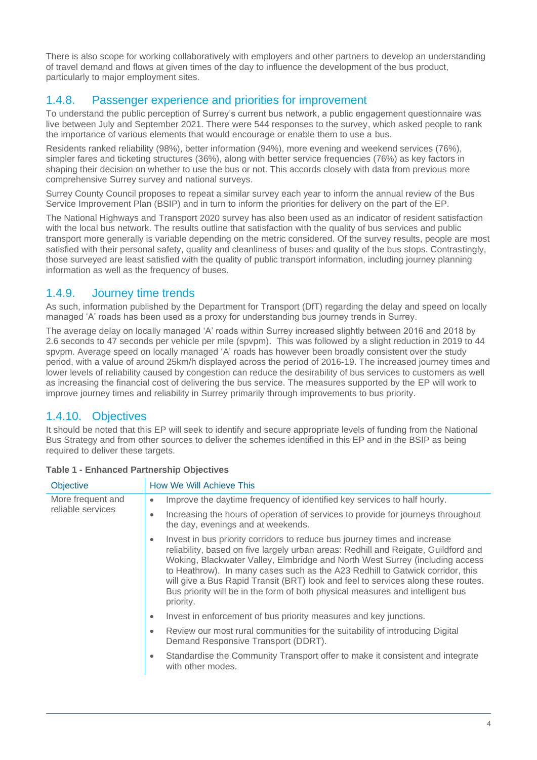There is also scope for working collaboratively with employers and other partners to develop an understanding of travel demand and flows at given times of the day to influence the development of the bus product, particularly to major employment sites.

## 1.4.8. Passenger experience and priorities for improvement

To understand the public perception of Surrey's current bus network, a public engagement questionnaire was live between July and September 2021. There were 544 responses to the survey, which asked people to rank the importance of various elements that would encourage or enable them to use a bus.

Residents ranked reliability (98%), better information (94%), more evening and weekend services (76%), simpler fares and ticketing structures (36%), along with better service frequencies (76%) as key factors in shaping their decision on whether to use the bus or not. This accords closely with data from previous more comprehensive Surrey survey and national surveys.

Surrey County Council proposes to repeat a similar survey each year to inform the annual review of the Bus Service Improvement Plan (BSIP) and in turn to inform the priorities for delivery on the part of the EP.

The National Highways and Transport 2020 survey has also been used as an indicator of resident satisfaction with the local bus network. The results outline that satisfaction with the quality of bus services and public transport more generally is variable depending on the metric considered. Of the survey results, people are most satisfied with their personal safety, quality and cleanliness of buses and quality of the bus stops. Contrastingly, those surveyed are least satisfied with the quality of public transport information, including journey planning information as well as the frequency of buses.

## 1.4.9. Journey time trends

As such, information published by the Department for Transport (DfT) regarding the delay and speed on locally managed 'A' roads has been used as a proxy for understanding bus journey trends in Surrey.

The average delay on locally managed 'A' roads within Surrey increased slightly between 2016 and 2018 by 2.6 seconds to 47 seconds per vehicle per mile (spvpm). This was followed by a slight reduction in 2019 to 44 spvpm. Average speed on locally managed 'A' roads has however been broadly consistent over the study period, with a value of around 25km/h displayed across the period of 2016-19. The increased journey times and lower levels of reliability caused by congestion can reduce the desirability of bus services to customers as well as increasing the financial cost of delivering the bus service. The measures supported by the EP will work to improve journey times and reliability in Surrey primarily through improvements to bus priority.

## 1.4.10. Objectives

It should be noted that this EP will seek to identify and secure appropriate levels of funding from the National Bus Strategy and from other sources to deliver the schemes identified in this EP and in the BSIP as being required to deliver these targets.

| Objective                              | How We Will Achieve This                                                                                                                                                                                                                                                                                                                                                                                                                                                                                                  |  |  |  |  |
|----------------------------------------|---------------------------------------------------------------------------------------------------------------------------------------------------------------------------------------------------------------------------------------------------------------------------------------------------------------------------------------------------------------------------------------------------------------------------------------------------------------------------------------------------------------------------|--|--|--|--|
| More frequent and<br>reliable services | Improve the daytime frequency of identified key services to half hourly.<br>$\bullet$                                                                                                                                                                                                                                                                                                                                                                                                                                     |  |  |  |  |
|                                        | Increasing the hours of operation of services to provide for journeys throughout<br>٠<br>the day, evenings and at weekends.                                                                                                                                                                                                                                                                                                                                                                                               |  |  |  |  |
|                                        | Invest in bus priority corridors to reduce bus journey times and increase<br>٠<br>reliability, based on five largely urban areas: Redhill and Reigate, Guildford and<br>Woking, Blackwater Valley, Elmbridge and North West Surrey (including access<br>to Heathrow). In many cases such as the A23 Redhill to Gatwick corridor, this<br>will give a Bus Rapid Transit (BRT) look and feel to services along these routes.<br>Bus priority will be in the form of both physical measures and intelligent bus<br>priority. |  |  |  |  |
|                                        | Invest in enforcement of bus priority measures and key junctions.<br>٠                                                                                                                                                                                                                                                                                                                                                                                                                                                    |  |  |  |  |
|                                        | Review our most rural communities for the suitability of introducing Digital<br>٠<br>Demand Responsive Transport (DDRT).                                                                                                                                                                                                                                                                                                                                                                                                  |  |  |  |  |
|                                        | Standardise the Community Transport offer to make it consistent and integrate<br>with other modes.                                                                                                                                                                                                                                                                                                                                                                                                                        |  |  |  |  |
|                                        |                                                                                                                                                                                                                                                                                                                                                                                                                                                                                                                           |  |  |  |  |

### **Table 1 - Enhanced Partnership Objectives**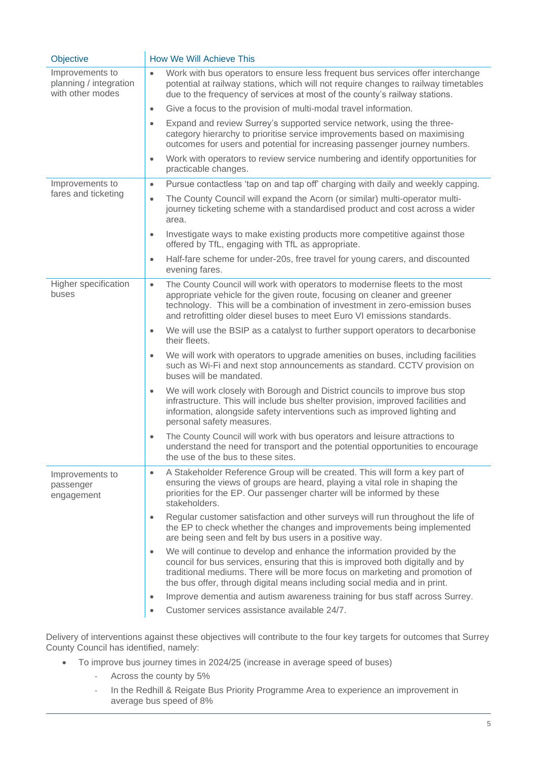| Objective                                                     | How We Will Achieve This                                                                                                                                                                                                                                                                                                           |  |  |  |  |
|---------------------------------------------------------------|------------------------------------------------------------------------------------------------------------------------------------------------------------------------------------------------------------------------------------------------------------------------------------------------------------------------------------|--|--|--|--|
| Improvements to<br>planning / integration<br>with other modes | Work with bus operators to ensure less frequent bus services offer interchange<br>$\bullet$<br>potential at railway stations, which will not require changes to railway timetables<br>due to the frequency of services at most of the county's railway stations.                                                                   |  |  |  |  |
|                                                               | Give a focus to the provision of multi-modal travel information.<br>$\bullet$                                                                                                                                                                                                                                                      |  |  |  |  |
|                                                               | Expand and review Surrey's supported service network, using the three-<br>$\bullet$<br>category hierarchy to prioritise service improvements based on maximising<br>outcomes for users and potential for increasing passenger journey numbers.                                                                                     |  |  |  |  |
|                                                               | Work with operators to review service numbering and identify opportunities for<br>$\bullet$<br>practicable changes.                                                                                                                                                                                                                |  |  |  |  |
| Improvements to                                               | Pursue contactless 'tap on and tap off' charging with daily and weekly capping.<br>$\bullet$                                                                                                                                                                                                                                       |  |  |  |  |
| fares and ticketing                                           | The County Council will expand the Acorn (or similar) multi-operator multi-<br>$\bullet$<br>journey ticketing scheme with a standardised product and cost across a wider<br>area.                                                                                                                                                  |  |  |  |  |
|                                                               | Investigate ways to make existing products more competitive against those<br>$\bullet$<br>offered by TfL, engaging with TfL as appropriate.                                                                                                                                                                                        |  |  |  |  |
|                                                               | Half-fare scheme for under-20s, free travel for young carers, and discounted<br>$\bullet$<br>evening fares.                                                                                                                                                                                                                        |  |  |  |  |
| Higher specification<br>buses                                 | The County Council will work with operators to modernise fleets to the most<br>$\bullet$<br>appropriate vehicle for the given route, focusing on cleaner and greener<br>technology. This will be a combination of investment in zero-emission buses<br>and retrofitting older diesel buses to meet Euro VI emissions standards.    |  |  |  |  |
|                                                               | We will use the BSIP as a catalyst to further support operators to decarbonise<br>$\bullet$<br>their fleets.                                                                                                                                                                                                                       |  |  |  |  |
|                                                               | We will work with operators to upgrade amenities on buses, including facilities<br>$\bullet$<br>such as Wi-Fi and next stop announcements as standard. CCTV provision on<br>buses will be mandated.                                                                                                                                |  |  |  |  |
|                                                               | We will work closely with Borough and District councils to improve bus stop<br>$\bullet$<br>infrastructure. This will include bus shelter provision, improved facilities and<br>information, alongside safety interventions such as improved lighting and<br>personal safety measures.                                             |  |  |  |  |
|                                                               | The County Council will work with bus operators and leisure attractions to<br>$\bullet$<br>understand the need for transport and the potential opportunities to encourage<br>the use of the bus to these sites.                                                                                                                    |  |  |  |  |
| Improvements to<br>passenger<br>engagement                    | A Stakeholder Reference Group will be created. This will form a key part of<br>$\bullet$<br>ensuring the views of groups are heard, playing a vital role in shaping the<br>priorities for the EP. Our passenger charter will be informed by these<br>stakeholders.                                                                 |  |  |  |  |
|                                                               | Regular customer satisfaction and other surveys will run throughout the life of<br>$\bullet$<br>the EP to check whether the changes and improvements being implemented<br>are being seen and felt by bus users in a positive way.                                                                                                  |  |  |  |  |
|                                                               | We will continue to develop and enhance the information provided by the<br>$\bullet$<br>council for bus services, ensuring that this is improved both digitally and by<br>traditional mediums. There will be more focus on marketing and promotion of<br>the bus offer, through digital means including social media and in print. |  |  |  |  |
|                                                               | Improve dementia and autism awareness training for bus staff across Surrey.<br>$\bullet$                                                                                                                                                                                                                                           |  |  |  |  |
|                                                               | Customer services assistance available 24/7.<br>$\bullet$                                                                                                                                                                                                                                                                          |  |  |  |  |

Delivery of interventions against these objectives will contribute to the four key targets for outcomes that Surrey County Council has identified, namely:

- To improve bus journey times in 2024/25 (increase in average speed of buses)
	- ‐ Across the county by 5%
	- ‐ In the Redhill & Reigate Bus Priority Programme Area to experience an improvement in average bus speed of 8%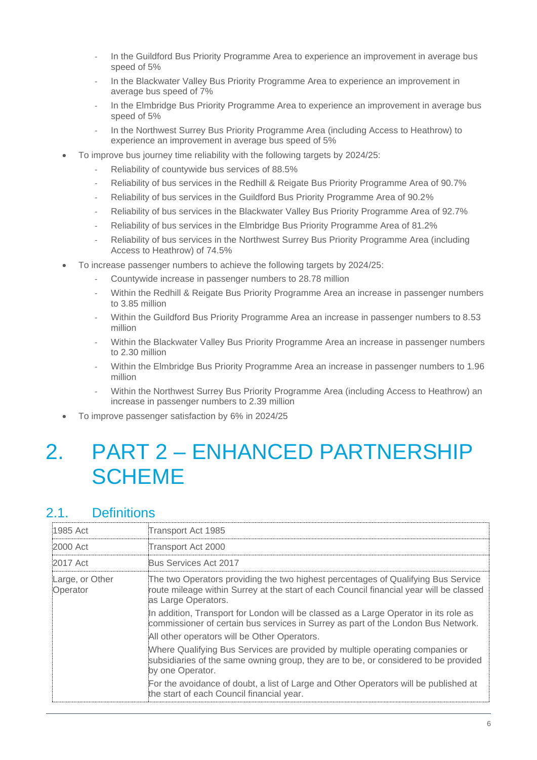- ‐ In the Guildford Bus Priority Programme Area to experience an improvement in average bus speed of 5%
- In the Blackwater Valley Bus Priority Programme Area to experience an improvement in average bus speed of 7%
- ‐ In the Elmbridge Bus Priority Programme Area to experience an improvement in average bus speed of 5%
- ‐ In the Northwest Surrey Bus Priority Programme Area (including Access to Heathrow) to experience an improvement in average bus speed of 5%
- To improve bus journey time reliability with the following targets by 2024/25:
	- ‐ Reliability of countywide bus services of 88.5%
	- ‐ Reliability of bus services in the Redhill & Reigate Bus Priority Programme Area of 90.7%
	- ‐ Reliability of bus services in the Guildford Bus Priority Programme Area of 90.2%
	- ‐ Reliability of bus services in the Blackwater Valley Bus Priority Programme Area of 92.7%
	- ‐ Reliability of bus services in the Elmbridge Bus Priority Programme Area of 81.2%
	- ‐ Reliability of bus services in the Northwest Surrey Bus Priority Programme Area (including Access to Heathrow) of 74.5%
- To increase passenger numbers to achieve the following targets by 2024/25:
	- ‐ Countywide increase in passenger numbers to 28.78 million
	- Within the Redhill & Reigate Bus Priority Programme Area an increase in passenger numbers to 3.85 million
	- ‐ Within the Guildford Bus Priority Programme Area an increase in passenger numbers to 8.53 million
	- ‐ Within the Blackwater Valley Bus Priority Programme Area an increase in passenger numbers to 2.30 million
	- ‐ Within the Elmbridge Bus Priority Programme Area an increase in passenger numbers to 1.96 million
	- ‐ Within the Northwest Surrey Bus Priority Programme Area (including Access to Heathrow) an increase in passenger numbers to 2.39 million
- To improve passenger satisfaction by 6% in 2024/25

# 2. PART 2 – ENHANCED PARTNERSHIP **SCHEME**

## 2.1. Definitions

| 1985 Act                    | Transport Act 1985                                                                                                                                                                                  |  |  |  |  |  |
|-----------------------------|-----------------------------------------------------------------------------------------------------------------------------------------------------------------------------------------------------|--|--|--|--|--|
| 2000 Act                    | Transport Act 2000                                                                                                                                                                                  |  |  |  |  |  |
| 2017 Act                    | Bus Services Act 2017                                                                                                                                                                               |  |  |  |  |  |
| Large, or Other<br>Operator | The two Operators providing the two highest percentages of Qualifying Bus Service<br>route mileage within Surrey at the start of each Council financial year will be classed<br>as Large Operators. |  |  |  |  |  |
|                             | In addition, Transport for London will be classed as a Large Operator in its role as<br>commissioner of certain bus services in Surrey as part of the London Bus Network.                           |  |  |  |  |  |
|                             | All other operators will be Other Operators.                                                                                                                                                        |  |  |  |  |  |
|                             | Where Qualifying Bus Services are provided by multiple operating companies or<br>subsidiaries of the same owning group, they are to be, or considered to be provided<br>by one Operator.            |  |  |  |  |  |
|                             | For the avoidance of doubt, a list of Large and Other Operators will be published at<br>the start of each Council financial year.                                                                   |  |  |  |  |  |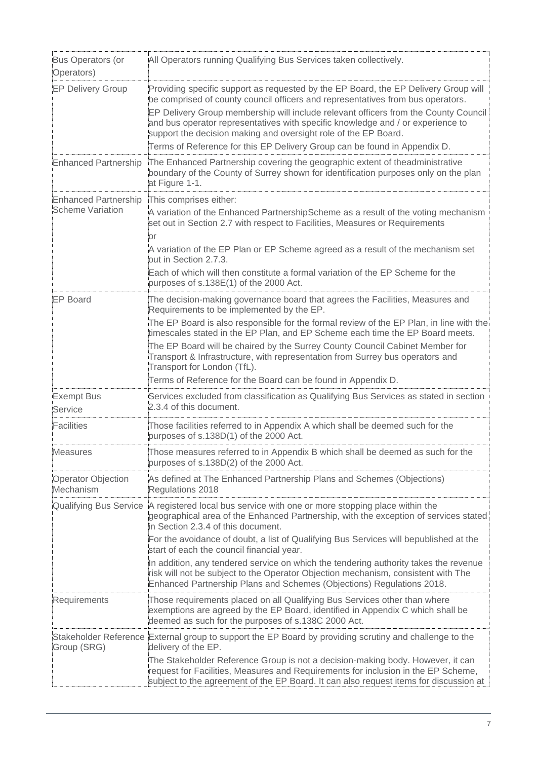| Bus Operators (or<br>Operators)                        | All Operators running Qualifying Bus Services taken collectively.                                                                                                                                                                                            |  |  |  |  |
|--------------------------------------------------------|--------------------------------------------------------------------------------------------------------------------------------------------------------------------------------------------------------------------------------------------------------------|--|--|--|--|
| <b>EP Delivery Group</b>                               | Providing specific support as requested by the EP Board, the EP Delivery Group will<br>be comprised of county council officers and representatives from bus operators.                                                                                       |  |  |  |  |
|                                                        | EP Delivery Group membership will include relevant officers from the County Council<br>and bus operator representatives with specific knowledge and / or experience to<br>support the decision making and oversight role of the EP Board.                    |  |  |  |  |
|                                                        | Terms of Reference for this EP Delivery Group can be found in Appendix D.                                                                                                                                                                                    |  |  |  |  |
| <b>Enhanced Partnership</b>                            | The Enhanced Partnership covering the geographic extent of theadministrative<br>boundary of the County of Surrey shown for identification purposes only on the plan<br>at Figure 1-1.                                                                        |  |  |  |  |
| <b>Enhanced Partnership</b><br><b>Scheme Variation</b> | This comprises either:<br>A variation of the Enhanced PartnershipScheme as a result of the voting mechanism<br>set out in Section 2.7 with respect to Facilities, Measures or Requirements<br>or                                                             |  |  |  |  |
|                                                        | A variation of the EP Plan or EP Scheme agreed as a result of the mechanism set<br>out in Section 2.7.3.                                                                                                                                                     |  |  |  |  |
|                                                        | Each of which will then constitute a formal variation of the EP Scheme for the<br>purposes of s.138E(1) of the 2000 Act.                                                                                                                                     |  |  |  |  |
| <b>EP Board</b>                                        | The decision-making governance board that agrees the Facilities, Measures and<br>Requirements to be implemented by the EP.                                                                                                                                   |  |  |  |  |
|                                                        | The EP Board is also responsible for the formal review of the EP Plan, in line with the<br>timescales stated in the EP Plan, and EP Scheme each time the EP Board meets.                                                                                     |  |  |  |  |
|                                                        | The EP Board will be chaired by the Surrey County Council Cabinet Member for<br>Transport & Infrastructure, with representation from Surrey bus operators and<br>Transport for London (TfL).                                                                 |  |  |  |  |
|                                                        | Terms of Reference for the Board can be found in Appendix D.                                                                                                                                                                                                 |  |  |  |  |
| <b>Exempt Bus</b><br>Service                           | Services excluded from classification as Qualifying Bus Services as stated in section<br>2.3.4 of this document.                                                                                                                                             |  |  |  |  |
| Facilities                                             | Those facilities referred to in Appendix A which shall be deemed such for the<br>purposes of s.138D(1) of the 2000 Act.                                                                                                                                      |  |  |  |  |
| Measures                                               | Those measures referred to in Appendix B which shall be deemed as such for the<br>purposes of s.138D(2) of the 2000 Act.                                                                                                                                     |  |  |  |  |
| <b>Operator Objection</b><br>Mechanism                 | As defined at The Enhanced Partnership Plans and Schemes (Objections)<br>Regulations 2018                                                                                                                                                                    |  |  |  |  |
| Qualifying Bus Service                                 | A registered local bus service with one or more stopping place within the<br>geographical area of the Enhanced Partnership, with the exception of services stated<br>in Section 2.3.4 of this document.                                                      |  |  |  |  |
|                                                        | For the avoidance of doubt, a list of Qualifying Bus Services will bepublished at the<br>start of each the council financial year.                                                                                                                           |  |  |  |  |
|                                                        | In addition, any tendered service on which the tendering authority takes the revenue<br>risk will not be subject to the Operator Objection mechanism, consistent with The<br>Enhanced Partnership Plans and Schemes (Objections) Regulations 2018.           |  |  |  |  |
| Requirements                                           | Those requirements placed on all Qualifying Bus Services other than where<br>exemptions are agreed by the EP Board, identified in Appendix C which shall be<br>deemed as such for the purposes of s.138C 2000 Act.                                           |  |  |  |  |
| Group (SRG)                                            | Stakeholder Reference External group to support the EP Board by providing scrutiny and challenge to the<br>delivery of the EP.                                                                                                                               |  |  |  |  |
|                                                        | The Stakeholder Reference Group is not a decision-making body. However, it can<br>request for Facilities, Measures and Requirements for inclusion in the EP Scheme,<br>subject to the agreement of the EP Board. It can also request items for discussion at |  |  |  |  |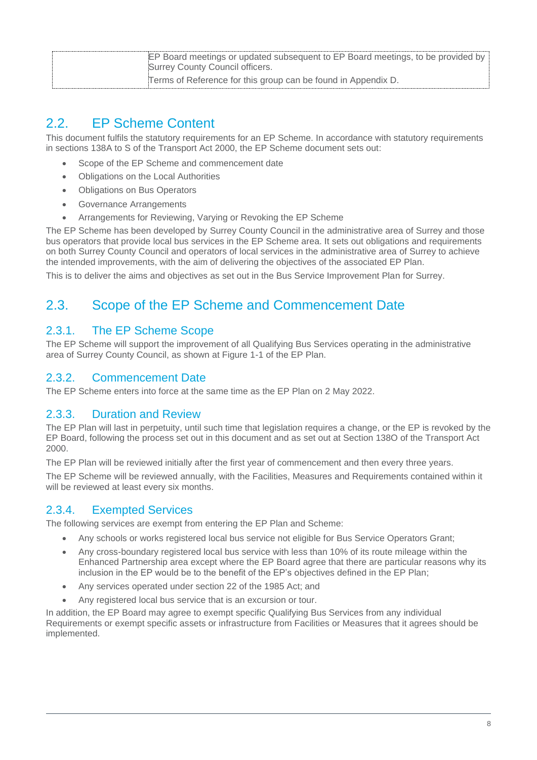| EP Board meetings or updated subsequent to EP Board meetings, to be provided by<br>Surrey County Council officers. |
|--------------------------------------------------------------------------------------------------------------------|
| Terms of Reference for this group can be found in Appendix D.                                                      |

# 2.2. EP Scheme Content

This document fulfils the statutory requirements for an EP Scheme. In accordance with statutory requirements in sections 138A to S of the Transport Act 2000, the EP Scheme document sets out:

- Scope of the EP Scheme and commencement date
- Obligations on the Local Authorities
- Obligations on Bus Operators
- Governance Arrangements
- Arrangements for Reviewing, Varying or Revoking the EP Scheme

The EP Scheme has been developed by Surrey County Council in the administrative area of Surrey and those bus operators that provide local bus services in the EP Scheme area. It sets out obligations and requirements on both Surrey County Council and operators of local services in the administrative area of Surrey to achieve the intended improvements, with the aim of delivering the objectives of the associated EP Plan.

This is to deliver the aims and objectives as set out in the Bus Service Improvement Plan for Surrey.

# 2.3. Scope of the EP Scheme and Commencement Date

## 2.3.1. The EP Scheme Scope

The EP Scheme will support the improvement of all Qualifying Bus Services operating in the administrative area of Surrey County Council, as shown at Figure 1-1 of the EP Plan.

### 2.3.2. Commencement Date

The EP Scheme enters into force at the same time as the EP Plan on 2 May 2022.

## 2.3.3. Duration and Review

The EP Plan will last in perpetuity, until such time that legislation requires a change, or the EP is revoked by the EP Board, following the process set out in this document and as set out at Section 138O of the Transport Act 2000.

The EP Plan will be reviewed initially after the first year of commencement and then every three years.

The EP Scheme will be reviewed annually, with the Facilities, Measures and Requirements contained within it will be reviewed at least every six months.

## 2.3.4. Exempted Services

The following services are exempt from entering the EP Plan and Scheme:

- Any schools or works registered local bus service not eligible for Bus Service Operators Grant;
- Any cross-boundary registered local bus service with less than 10% of its route mileage within the Enhanced Partnership area except where the EP Board agree that there are particular reasons why its inclusion in the EP would be to the benefit of the EP's objectives defined in the EP Plan;
- Any services operated under section 22 of the 1985 Act; and
- Any registered local bus service that is an excursion or tour.

In addition, the EP Board may agree to exempt specific Qualifying Bus Services from any individual Requirements or exempt specific assets or infrastructure from Facilities or Measures that it agrees should be implemented.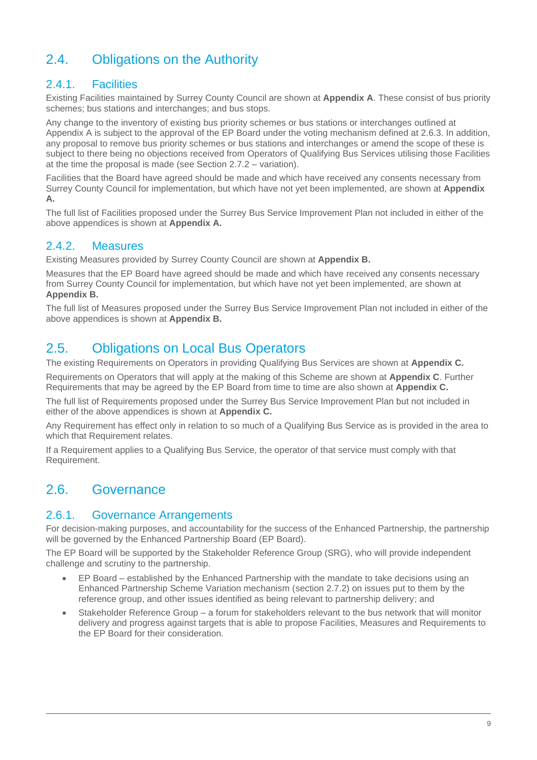# 2.4. Obligations on the Authority

## 2.4.1. Facilities

Existing Facilities maintained by Surrey County Council are shown at **Appendix A**. These consist of bus priority schemes; bus stations and interchanges; and bus stops.

Any change to the inventory of existing bus priority schemes or bus stations or interchanges outlined at Appendix A is subject to the approval of the EP Board under the voting mechanism defined at 2.6.3. In addition, any proposal to remove bus priority schemes or bus stations and interchanges or amend the scope of these is subject to there being no objections received from Operators of Qualifying Bus Services utilising those Facilities at the time the proposal is made (see Section 2.7.2 – variation).

Facilities that the Board have agreed should be made and which have received any consents necessary from Surrey County Council for implementation, but which have not yet been implemented, are shown at **Appendix A.**

The full list of Facilities proposed under the Surrey Bus Service Improvement Plan not included in either of the above appendices is shown at **Appendix A.**

## 2.4.2. Measures

Existing Measures provided by Surrey County Council are shown at **Appendix B.**

Measures that the EP Board have agreed should be made and which have received any consents necessary from Surrey County Council for implementation, but which have not yet been implemented, are shown at **Appendix B.**

The full list of Measures proposed under the Surrey Bus Service Improvement Plan not included in either of the above appendices is shown at **Appendix B.**

# 2.5. Obligations on Local Bus Operators

The existing Requirements on Operators in providing Qualifying Bus Services are shown at **Appendix C.**

Requirements on Operators that will apply at the making of this Scheme are shown at **Appendix C**. Further Requirements that may be agreed by the EP Board from time to time are also shown at **Appendix C.**

The full list of Requirements proposed under the Surrey Bus Service Improvement Plan but not included in either of the above appendices is shown at **Appendix C.**

Any Requirement has effect only in relation to so much of a Qualifying Bus Service as is provided in the area to which that Requirement relates.

If a Requirement applies to a Qualifying Bus Service, the operator of that service must comply with that Requirement.

# 2.6. Governance

## 2.6.1. Governance Arrangements

For decision-making purposes, and accountability for the success of the Enhanced Partnership, the partnership will be governed by the Enhanced Partnership Board (EP Board).

The EP Board will be supported by the Stakeholder Reference Group (SRG), who will provide independent challenge and scrutiny to the partnership.

- EP Board established by the Enhanced Partnership with the mandate to take decisions using an Enhanced Partnership Scheme Variation mechanism (section 2.7.2) on issues put to them by the reference group, and other issues identified as being relevant to partnership delivery; and
- Stakeholder Reference Group a forum for stakeholders relevant to the bus network that will monitor delivery and progress against targets that is able to propose Facilities, Measures and Requirements to the EP Board for their consideration.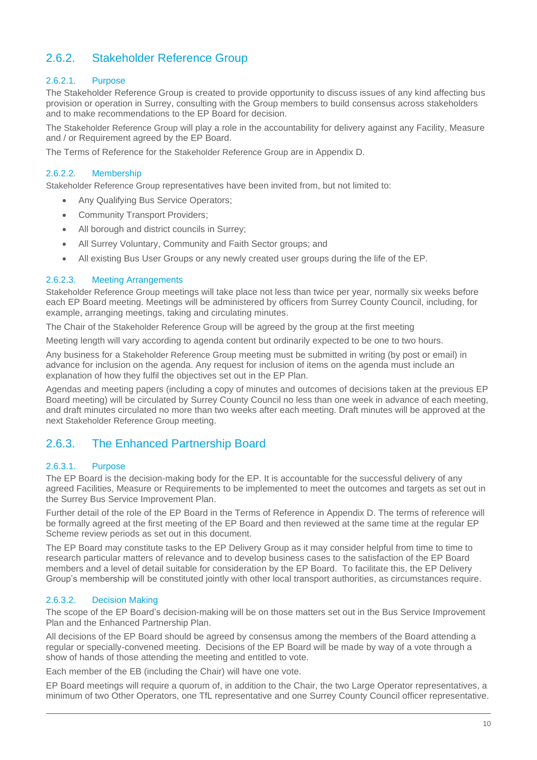## 2.6.2. Stakeholder Reference Group

#### 2.6.2.1. Purpose

The Stakeholder Reference Group is created to provide opportunity to discuss issues of any kind affecting bus provision or operation in Surrey, consulting with the Group members to build consensus across stakeholders and to make recommendations to the EP Board for decision.

The Stakeholder Reference Group will play a role in the accountability for delivery against any Facility, Measure and / or Requirement agreed by the EP Board.

The Terms of Reference for the Stakeholder Reference Group are in Appendix D.

#### 2.6.2.2. Membership

Stakeholder Reference Group representatives have been invited from, but not limited to:

- Any Qualifying Bus Service Operators;
- Community Transport Providers;
- All borough and district councils in Surrey;
- All Surrey Voluntary, Community and Faith Sector groups; and
- All existing Bus User Groups or any newly created user groups during the life of the EP.

#### 2.6.2.3. Meeting Arrangements

Stakeholder Reference Group meetings will take place not less than twice per year, normally six weeks before each EP Board meeting. Meetings will be administered by officers from Surrey County Council, including, for example, arranging meetings, taking and circulating minutes.

The Chair of the Stakeholder Reference Group will be agreed by the group at the first meeting

Meeting length will vary according to agenda content but ordinarily expected to be one to two hours.

Any business for a Stakeholder Reference Group meeting must be submitted in writing (by post or email) in advance for inclusion on the agenda. Any request for inclusion of items on the agenda must include an explanation of how they fulfil the objectives set out in the EP Plan.

Agendas and meeting papers (including a copy of minutes and outcomes of decisions taken at the previous EP Board meeting) will be circulated by Surrey County Council no less than one week in advance of each meeting, and draft minutes circulated no more than two weeks after each meeting. Draft minutes will be approved at the next Stakeholder Reference Group meeting.

## 2.6.3. The Enhanced Partnership Board

#### 2.6.3.1. Purpose

The EP Board is the decision-making body for the EP. It is accountable for the successful delivery of any agreed Facilities, Measure or Requirements to be implemented to meet the outcomes and targets as set out in the Surrey Bus Service Improvement Plan.

Further detail of the role of the EP Board in the Terms of Reference in Appendix D. The terms of reference will be formally agreed at the first meeting of the EP Board and then reviewed at the same time at the regular EP Scheme review periods as set out in this document.

The EP Board may constitute tasks to the EP Delivery Group as it may consider helpful from time to time to research particular matters of relevance and to develop business cases to the satisfaction of the EP Board members and a level of detail suitable for consideration by the EP Board. To facilitate this, the EP Delivery Group's membership will be constituted jointly with other local transport authorities, as circumstances require.

#### 2.6.3.2. Decision Making

The scope of the EP Board's decision-making will be on those matters set out in the Bus Service Improvement Plan and the Enhanced Partnership Plan.

All decisions of the EP Board should be agreed by consensus among the members of the Board attending a regular or specially-convened meeting. Decisions of the EP Board will be made by way of a vote through a show of hands of those attending the meeting and entitled to vote.

Each member of the EB (including the Chair) will have one vote.

EP Board meetings will require a quorum of, in addition to the Chair, the two Large Operator representatives, a minimum of two Other Operators, one TfL representative and one Surrey County Council officer representative.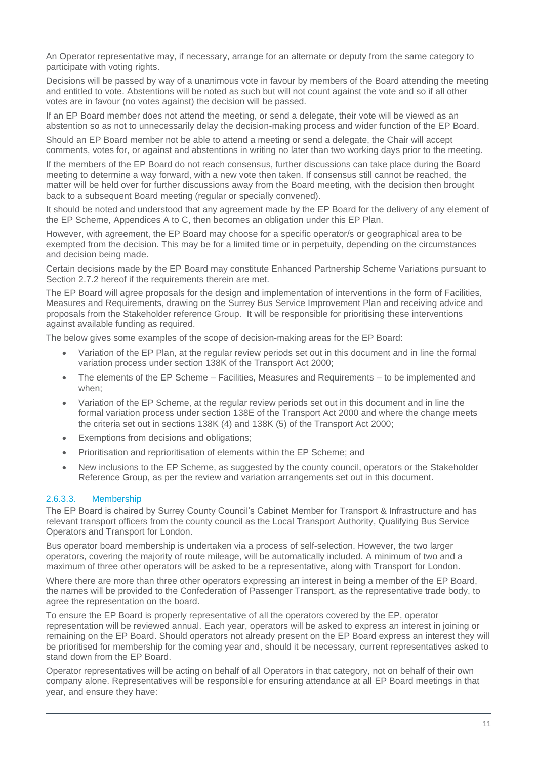An Operator representative may, if necessary, arrange for an alternate or deputy from the same category to participate with voting rights.

Decisions will be passed by way of a unanimous vote in favour by members of the Board attending the meeting and entitled to vote. Abstentions will be noted as such but will not count against the vote and so if all other votes are in favour (no votes against) the decision will be passed.

If an EP Board member does not attend the meeting, or send a delegate, their vote will be viewed as an abstention so as not to unnecessarily delay the decision-making process and wider function of the EP Board.

Should an EP Board member not be able to attend a meeting or send a delegate, the Chair will accept comments, votes for, or against and abstentions in writing no later than two working days prior to the meeting.

If the members of the EP Board do not reach consensus, further discussions can take place during the Board meeting to determine a way forward, with a new vote then taken. If consensus still cannot be reached, the matter will be held over for further discussions away from the Board meeting, with the decision then brought back to a subsequent Board meeting (regular or specially convened).

It should be noted and understood that any agreement made by the EP Board for the delivery of any element of the EP Scheme, Appendices A to C, then becomes an obligation under this EP Plan.

However, with agreement, the EP Board may choose for a specific operator/s or geographical area to be exempted from the decision. This may be for a limited time or in perpetuity, depending on the circumstances and decision being made.

Certain decisions made by the EP Board may constitute Enhanced Partnership Scheme Variations pursuant to Section 2.7.2 hereof if the requirements therein are met.

The EP Board will agree proposals for the design and implementation of interventions in the form of Facilities, Measures and Requirements, drawing on the Surrey Bus Service Improvement Plan and receiving advice and proposals from the Stakeholder reference Group. It will be responsible for prioritising these interventions against available funding as required.

The below gives some examples of the scope of decision-making areas for the EP Board:

- Variation of the EP Plan, at the regular review periods set out in this document and in line the formal variation process under section 138K of the Transport Act 2000;
- The elements of the EP Scheme Facilities, Measures and Requirements to be implemented and when;
- Variation of the EP Scheme, at the regular review periods set out in this document and in line the formal variation process under section 138E of the Transport Act 2000 and where the change meets the criteria set out in sections 138K (4) and 138K (5) of the Transport Act 2000;
- Exemptions from decisions and obligations;
- Prioritisation and reprioritisation of elements within the EP Scheme; and
- New inclusions to the EP Scheme, as suggested by the county council, operators or the Stakeholder Reference Group, as per the review and variation arrangements set out in this document.

#### 2.6.3.3. Membership

The EP Board is chaired by Surrey County Council's Cabinet Member for Transport & Infrastructure and has relevant transport officers from the county council as the Local Transport Authority, Qualifying Bus Service Operators and Transport for London.

Bus operator board membership is undertaken via a process of self-selection. However, the two larger operators, covering the majority of route mileage, will be automatically included. A minimum of two and a maximum of three other operators will be asked to be a representative, along with Transport for London.

Where there are more than three other operators expressing an interest in being a member of the EP Board, the names will be provided to the Confederation of Passenger Transport, as the representative trade body, to agree the representation on the board.

To ensure the EP Board is properly representative of all the operators covered by the EP, operator representation will be reviewed annual. Each year, operators will be asked to express an interest in joining or remaining on the EP Board. Should operators not already present on the EP Board express an interest they will be prioritised for membership for the coming year and, should it be necessary, current representatives asked to stand down from the EP Board.

Operator representatives will be acting on behalf of all Operators in that category, not on behalf of their own company alone. Representatives will be responsible for ensuring attendance at all EP Board meetings in that year, and ensure they have: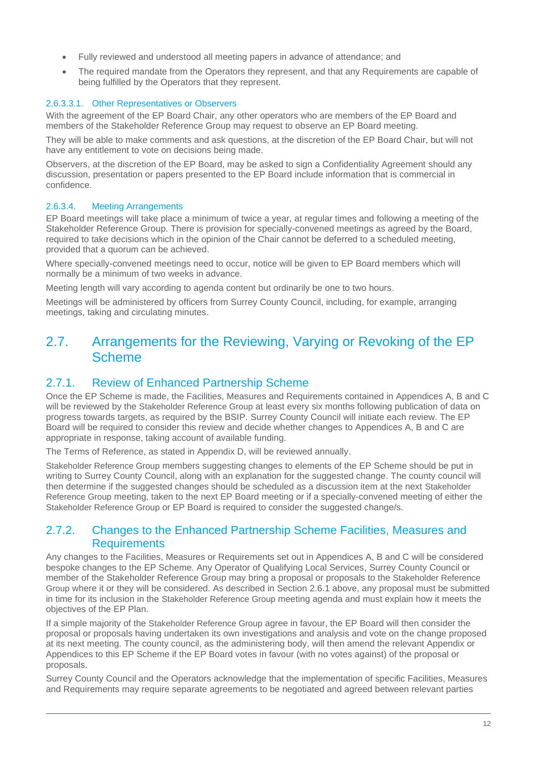- Fully reviewed and understood all meeting papers in advance of attendance; and
- The required mandate from the Operators they represent, and that any Requirements are capable of being fulfilled by the Operators that they represent.

#### 2.6.3.3.1. Other Representatives or Observers

With the agreement of the EP Board Chair, any other operators who are members of the EP Board and members of the Stakeholder Reference Group may request to observe an EP Board meeting.

They will be able to make comments and ask questions, at the discretion of the EP Board Chair, but will not have any entitlement to vote on decisions being made.

Observers, at the discretion of the EP Board, may be asked to sign a Confidentiality Agreement should any discussion, presentation or papers presented to the EP Board include information that is commercial in confidence.

#### 2.6.3.4. Meeting Arrangements

EP Board meetings will take place a minimum of twice a year, at regular times and following a meeting of the Stakeholder Reference Group. There is provision for specially-convened meetings as agreed by the Board, required to take decisions which in the opinion of the Chair cannot be deferred to a scheduled meeting, provided that a quorum can be achieved.

Where specially-convened meetings need to occur, notice will be given to EP Board members which will normally be a minimum of two weeks in advance.

Meeting length will vary according to agenda content but ordinarily be one to two hours.

Meetings will be administered by officers from Surrey County Council, including, for example, arranging meetings, taking and circulating minutes.

## 2.7. Arrangements for the Reviewing, Varying or Revoking of the EP Scheme

### 2.7.1. Review of Enhanced Partnership Scheme

Once the EP Scheme is made, the Facilities, Measures and Requirements contained in Appendices A, B and C will be reviewed by the Stakeholder Reference Group at least every six months following publication of data on progress towards targets, as required by the BSIP. Surrey County Council will initiate each review. The EP Board will be required to consider this review and decide whether changes to Appendices A, B and C are appropriate in response, taking account of available funding.

The Terms of Reference, as stated in Appendix D, will be reviewed annually.

Stakeholder Reference Group members suggesting changes to elements of the EP Scheme should be put in writing to Surrey County Council, along with an explanation for the suggested change. The county council will then determine if the suggested changes should be scheduled as a discussion item at the next Stakeholder Reference Group meeting, taken to the next EP Board meeting or if a specially-convened meeting of either the Stakeholder Reference Group or EP Board is required to consider the suggested change/s.

## 2.7.2. Changes to the Enhanced Partnership Scheme Facilities, Measures and **Requirements**

Any changes to the Facilities, Measures or Requirements set out in Appendices A, B and C will be considered bespoke changes to the EP Scheme. Any Operator of Qualifying Local Services, Surrey County Council or member of the Stakeholder Reference Group may bring a proposal or proposals to the Stakeholder Reference Group where it or they will be considered. As described in Section 2.6.1 above, any proposal must be submitted in time for its inclusion in the Stakeholder Reference Group meeting agenda and must explain how it meets the objectives of the EP Plan.

If a simple majority of the Stakeholder Reference Group agree in favour, the EP Board will then consider the proposal or proposals having undertaken its own investigations and analysis and vote on the change proposed at its next meeting. The county council, as the administering body, will then amend the relevant Appendix or Appendices to this EP Scheme if the EP Board votes in favour (with no votes against) of the proposal or proposals.

Surrey County Council and the Operators acknowledge that the implementation of specific Facilities, Measures and Requirements may require separate agreements to be negotiated and agreed between relevant parties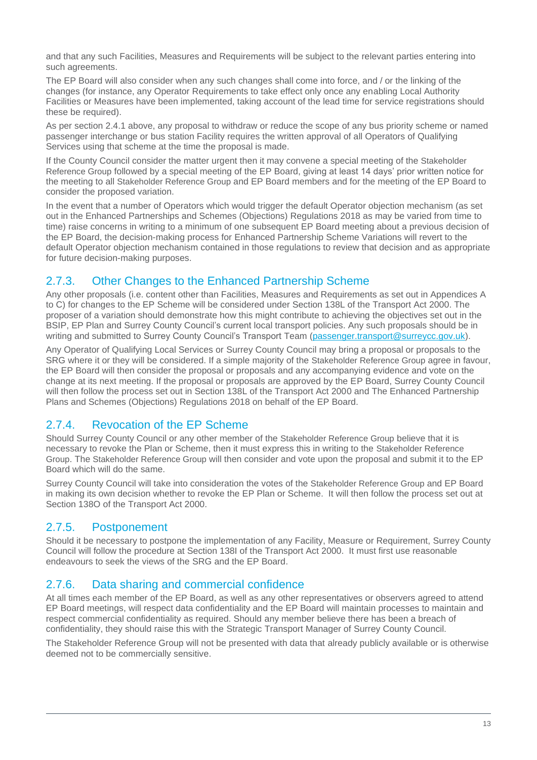and that any such Facilities, Measures and Requirements will be subject to the relevant parties entering into such agreements.

The EP Board will also consider when any such changes shall come into force, and / or the linking of the changes (for instance, any Operator Requirements to take effect only once any enabling Local Authority Facilities or Measures have been implemented, taking account of the lead time for service registrations should these be required).

As per section 2.4.1 above, any proposal to withdraw or reduce the scope of any bus priority scheme or named passenger interchange or bus station Facility requires the written approval of all Operators of Qualifying Services using that scheme at the time the proposal is made.

If the County Council consider the matter urgent then it may convene a special meeting of the Stakeholder Reference Group followed by a special meeting of the EP Board, giving at least 14 days' prior written notice for the meeting to all Stakeholder Reference Group and EP Board members and for the meeting of the EP Board to consider the proposed variation.

In the event that a number of Operators which would trigger the default Operator objection mechanism (as set out in the Enhanced Partnerships and Schemes (Objections) Regulations 2018 as may be varied from time to time) raise concerns in writing to a minimum of one subsequent EP Board meeting about a previous decision of the EP Board, the decision-making process for Enhanced Partnership Scheme Variations will revert to the default Operator objection mechanism contained in those regulations to review that decision and as appropriate for future decision-making purposes.

## 2.7.3. Other Changes to the Enhanced Partnership Scheme

Any other proposals (i.e. content other than Facilities, Measures and Requirements as set out in Appendices A to C) for changes to the EP Scheme will be considered under Section 138L of the Transport Act 2000. The proposer of a variation should demonstrate how this might contribute to achieving the objectives set out in the BSIP, EP Plan and Surrey County Council's current local transport policies. Any such proposals should be in writing and submitted to Surrey County Council's Transport Team [\(passenger.transport@surreycc.gov.uk\)](mailto:passenger.transport@surreycc.gov.uk).

Any Operator of Qualifying Local Services or Surrey County Council may bring a proposal or proposals to the SRG where it or they will be considered. If a simple majority of the Stakeholder Reference Group agree in favour, the EP Board will then consider the proposal or proposals and any accompanying evidence and vote on the change at its next meeting. If the proposal or proposals are approved by the EP Board, Surrey County Council will then follow the process set out in Section 138L of the Transport Act 2000 and The Enhanced Partnership Plans and Schemes (Objections) Regulations 2018 on behalf of the EP Board.

## 2.7.4. Revocation of the EP Scheme

Should Surrey County Council or any other member of the Stakeholder Reference Group believe that it is necessary to revoke the Plan or Scheme, then it must express this in writing to the Stakeholder Reference Group. The Stakeholder Reference Group will then consider and vote upon the proposal and submit it to the EP Board which will do the same.

Surrey County Council will take into consideration the votes of the Stakeholder Reference Group and EP Board in making its own decision whether to revoke the EP Plan or Scheme. It will then follow the process set out at Section 138O of the Transport Act 2000.

## 2.7.5. Postponement

Should it be necessary to postpone the implementation of any Facility, Measure or Requirement, Surrey County Council will follow the procedure at Section 138I of the Transport Act 2000. It must first use reasonable endeavours to seek the views of the SRG and the EP Board.

## 2.7.6. Data sharing and commercial confidence

At all times each member of the EP Board, as well as any other representatives or observers agreed to attend EP Board meetings, will respect data confidentiality and the EP Board will maintain processes to maintain and respect commercial confidentiality as required. Should any member believe there has been a breach of confidentiality, they should raise this with the Strategic Transport Manager of Surrey County Council.

The Stakeholder Reference Group will not be presented with data that already publicly available or is otherwise deemed not to be commercially sensitive.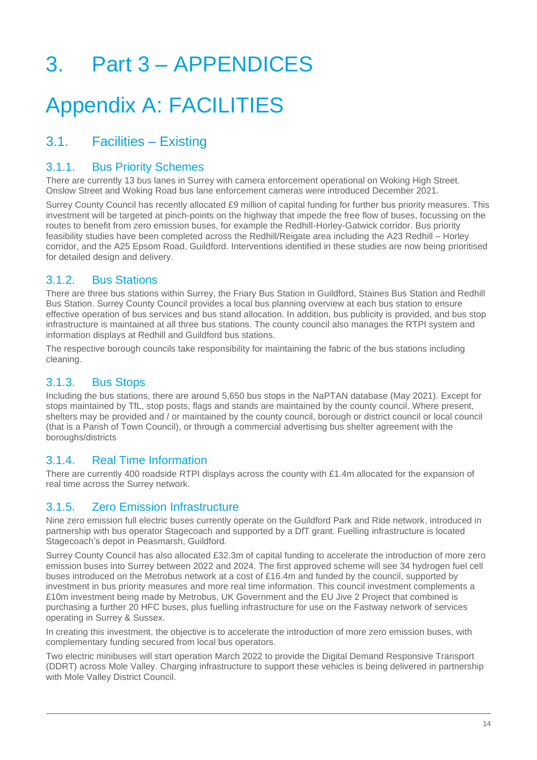# 3. Part 3 – APPENDICES

# Appendix A: FACILITIES

# 3.1. Facilities – Existing

## 3.1.1. Bus Priority Schemes

There are currently 13 bus lanes in Surrey with camera enforcement operational on Woking High Street. Onslow Street and Woking Road bus lane enforcement cameras were introduced December 2021.

Surrey County Council has recently allocated £9 million of capital funding for further bus priority measures. This investment will be targeted at pinch-points on the highway that impede the free flow of buses, focussing on the routes to benefit from zero emission buses, for example the Redhill-Horley-Gatwick corridor. Bus priority feasibility studies have been completed across the Redhill/Reigate area including the A23 Redhill – Horley corridor, and the A25 Epsom Road, Guildford. Interventions identified in these studies are now being prioritised for detailed design and delivery.

## 3.1.2. Bus Stations

There are three bus stations within Surrey, the Friary Bus Station in Guildford, Staines Bus Station and Redhill Bus Station. Surrey County Council provides a local bus planning overview at each bus station to ensure effective operation of bus services and bus stand allocation. In addition, bus publicity is provided, and bus stop infrastructure is maintained at all three bus stations. The county council also manages the RTPI system and information displays at Redhill and Guildford bus stations.

The respective borough councils take responsibility for maintaining the fabric of the bus stations including cleaning.

## 3.1.3. Bus Stops

Including the bus stations, there are around 5,650 bus stops in the NaPTAN database (May 2021). Except for stops maintained by TfL, stop posts, flags and stands are maintained by the county council. Where present, shelters may be provided and / or maintained by the county council, borough or district council or local council (that is a Parish of Town Council), or through a commercial advertising bus shelter agreement with the boroughs/districts

## 3.1.4. Real Time Information

There are currently 400 roadside RTPI displays across the county with £1.4m allocated for the expansion of real time across the Surrey network.

## 3.1.5. Zero Emission Infrastructure

Nine zero emission full electric buses currently operate on the Guildford Park and Ride network, introduced in partnership with bus operator Stagecoach and supported by a DfT grant. Fuelling infrastructure is located Stagecoach's depot in Peasmarsh, Guildford.

Surrey County Council has also allocated £32.3m of capital funding to accelerate the introduction of more zero emission buses into Surrey between 2022 and 2024. The first approved scheme will see 34 hydrogen fuel cell buses introduced on the Metrobus network at a cost of £16.4m and funded by the council, supported by investment in bus priority measures and more real time information. This council investment complements a £10m investment being made by Metrobus, UK Government and the EU Jive 2 Project that combined is purchasing a further 20 HFC buses, plus fuelling infrastructure for use on the Fastway network of services operating in Surrey & Sussex.

In creating this investment, the objective is to accelerate the introduction of more zero emission buses, with complementary funding secured from local bus operators.

Two electric minibuses will start operation March 2022 to provide the Digital Demand Responsive Transport (DDRT) across Mole Valley. Charging infrastructure to support these vehicles is being delivered in partnership with Mole Valley District Council.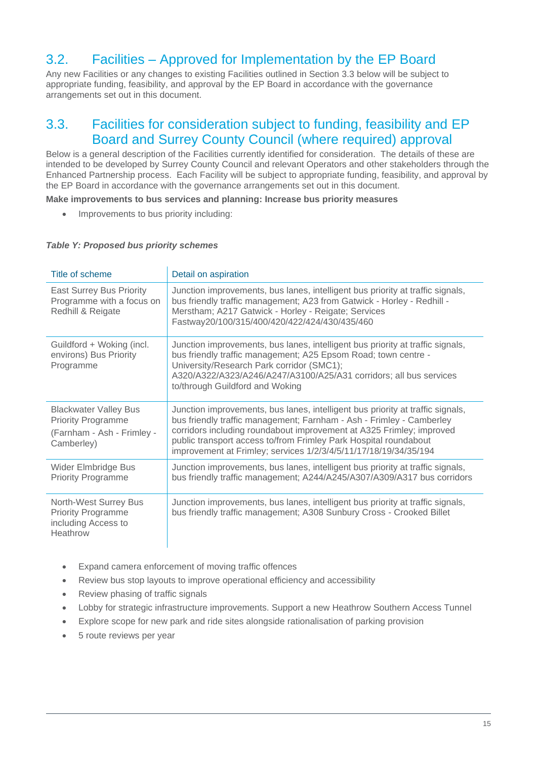# 3.2. Facilities – Approved for Implementation by the EP Board

Any new Facilities or any changes to existing Facilities outlined in Section 3.3 below will be subject to appropriate funding, feasibility, and approval by the EP Board in accordance with the governance arrangements set out in this document.

## 3.3. Facilities for consideration subject to funding, feasibility and EP Board and Surrey County Council (where required) approval

Below is a general description of the Facilities currently identified for consideration. The details of these are intended to be developed by Surrey County Council and relevant Operators and other stakeholders through the Enhanced Partnership process. Each Facility will be subject to appropriate funding, feasibility, and approval by the EP Board in accordance with the governance arrangements set out in this document.

#### **Make improvements to bus services and planning: Increase bus priority measures**

• Improvements to bus priority including:

#### *Table Y: Proposed bus priority schemes*

| Title of scheme                                                                                       | Detail on aspiration                                                                                                                                                                                                                                                                                                                                                   |
|-------------------------------------------------------------------------------------------------------|------------------------------------------------------------------------------------------------------------------------------------------------------------------------------------------------------------------------------------------------------------------------------------------------------------------------------------------------------------------------|
| <b>East Surrey Bus Priority</b><br>Programme with a focus on<br>Redhill & Reigate                     | Junction improvements, bus lanes, intelligent bus priority at traffic signals,<br>bus friendly traffic management; A23 from Gatwick - Horley - Redhill -<br>Merstham; A217 Gatwick - Horley - Reigate; Services<br>Fastway20/100/315/400/420/422/424/430/435/460                                                                                                       |
| Guildford + Woking (incl.<br>environs) Bus Priority<br>Programme                                      | Junction improvements, bus lanes, intelligent bus priority at traffic signals,<br>bus friendly traffic management; A25 Epsom Road; town centre -<br>University/Research Park corridor (SMC1);<br>A320/A322/A323/A246/A247/A3100/A25/A31 corridors; all bus services<br>to/through Guildford and Woking                                                                 |
| <b>Blackwater Valley Bus</b><br><b>Priority Programme</b><br>(Farnham - Ash - Frimley -<br>Camberley) | Junction improvements, bus lanes, intelligent bus priority at traffic signals,<br>bus friendly traffic management; Farnham - Ash - Frimley - Camberley<br>corridors including roundabout improvement at A325 Frimley; improved<br>public transport access to/from Frimley Park Hospital roundabout<br>improvement at Frimley; services 1/2/3/4/5/11/17/18/19/34/35/194 |
| Wider Elmbridge Bus<br><b>Priority Programme</b>                                                      | Junction improvements, bus lanes, intelligent bus priority at traffic signals,<br>bus friendly traffic management; A244/A245/A307/A309/A317 bus corridors                                                                                                                                                                                                              |
| North-West Surrey Bus<br><b>Priority Programme</b><br>including Access to<br>Heathrow                 | Junction improvements, bus lanes, intelligent bus priority at traffic signals,<br>bus friendly traffic management; A308 Sunbury Cross - Crooked Billet                                                                                                                                                                                                                 |

- Expand camera enforcement of moving traffic offences
- Review bus stop layouts to improve operational efficiency and accessibility
- Review phasing of traffic signals
- Lobby for strategic infrastructure improvements. Support a new Heathrow Southern Access Tunnel
- Explore scope for new park and ride sites alongside rationalisation of parking provision
- 5 route reviews per year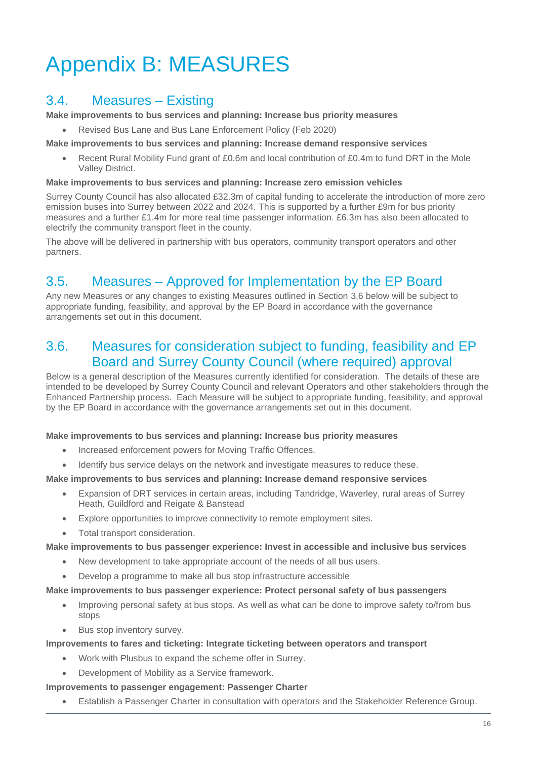# Appendix B: MEASURES

# 3.4. Measures – Existing

**Make improvements to bus services and planning: Increase bus priority measures**

• Revised Bus Lane and Bus Lane Enforcement Policy (Feb 2020)

**Make improvements to bus services and planning: Increase demand responsive services**

Recent Rural Mobility Fund grant of £0.6m and local contribution of £0.4m to fund DRT in the Mole Valley District.

#### **Make improvements to bus services and planning: Increase zero emission vehicles**

Surrey County Council has also allocated £32.3m of capital funding to accelerate the introduction of more zero emission buses into Surrey between 2022 and 2024. This is supported by a further £9m for bus priority measures and a further £1.4m for more real time passenger information. £6.3m has also been allocated to electrify the community transport fleet in the county.

The above will be delivered in partnership with bus operators, community transport operators and other partners.

# 3.5. Measures – Approved for Implementation by the EP Board

Any new Measures or any changes to existing Measures outlined in Section 3.6 below will be subject to appropriate funding, feasibility, and approval by the EP Board in accordance with the governance arrangements set out in this document.

## 3.6. Measures for consideration subject to funding, feasibility and EP Board and Surrey County Council (where required) approval

Below is a general description of the Measures currently identified for consideration. The details of these are intended to be developed by Surrey County Council and relevant Operators and other stakeholders through the Enhanced Partnership process. Each Measure will be subject to appropriate funding, feasibility, and approval by the EP Board in accordance with the governance arrangements set out in this document.

#### **Make improvements to bus services and planning: Increase bus priority measures**

- Increased enforcement powers for Moving Traffic Offences.
- Identify bus service delays on the network and investigate measures to reduce these.

### **Make improvements to bus services and planning: Increase demand responsive services**

- Expansion of DRT services in certain areas, including Tandridge, Waverley, rural areas of Surrey Heath, Guildford and Reigate & Banstead
- Explore opportunities to improve connectivity to remote employment sites.
- Total transport consideration.

#### **Make improvements to bus passenger experience: Invest in accessible and inclusive bus services**

- New development to take appropriate account of the needs of all bus users.
- Develop a programme to make all bus stop infrastructure accessible

#### **Make improvements to bus passenger experience: Protect personal safety of bus passengers**

- Improving personal safety at bus stops. As well as what can be done to improve safety to/from bus stops
- Bus stop inventory survey.

#### **Improvements to fares and ticketing: Integrate ticketing between operators and transport**

- Work with Plusbus to expand the scheme offer in Surrey.
- Development of Mobility as a Service framework.

#### **Improvements to passenger engagement: Passenger Charter**

• Establish a Passenger Charter in consultation with operators and the Stakeholder Reference Group.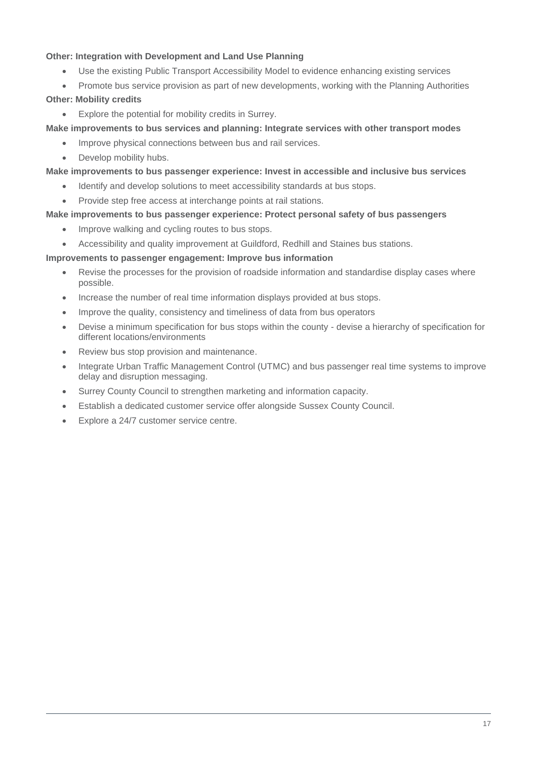#### **Other: Integration with Development and Land Use Planning**

- Use the existing Public Transport Accessibility Model to evidence enhancing existing services
- Promote bus service provision as part of new developments, working with the Planning Authorities

### **Other: Mobility credits**

Explore the potential for mobility credits in Surrey.

**Make improvements to bus services and planning: Integrate services with other transport modes**

- Improve physical connections between bus and rail services.
- Develop mobility hubs.

**Make improvements to bus passenger experience: Invest in accessible and inclusive bus services**

- Identify and develop solutions to meet accessibility standards at bus stops.
- Provide step free access at interchange points at rail stations.

#### **Make improvements to bus passenger experience: Protect personal safety of bus passengers**

- Improve walking and cycling routes to bus stops.
- Accessibility and quality improvement at Guildford, Redhill and Staines bus stations.

#### **Improvements to passenger engagement: Improve bus information**

- Revise the processes for the provision of roadside information and standardise display cases where possible.
- Increase the number of real time information displays provided at bus stops.
- Improve the quality, consistency and timeliness of data from bus operators
- Devise a minimum specification for bus stops within the county devise a hierarchy of specification for different locations/environments
- Review bus stop provision and maintenance.
- Integrate Urban Traffic Management Control (UTMC) and bus passenger real time systems to improve delay and disruption messaging.
- Surrey County Council to strengthen marketing and information capacity.
- Establish a dedicated customer service offer alongside Sussex County Council.
- Explore a 24/7 customer service centre.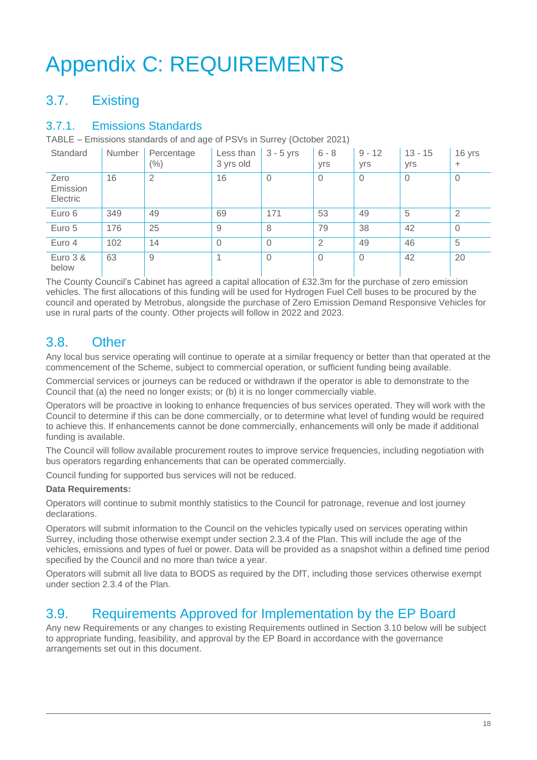# Appendix C: REQUIREMENTS

# 3.7. Existing

## 3.7.1. Emissions Standards

TABLE – Emissions standards of and age of PSVs in Surrey (October 2021)

| Standard                     | Number | Percentage<br>$(\% )$ | Less than<br>3 yrs old | $3 - 5$ yrs | $6 - 8$<br>yrs | $9 - 12$<br>yrs | $13 - 15$<br>yrs | 16 yrs<br>÷  |
|------------------------------|--------|-----------------------|------------------------|-------------|----------------|-----------------|------------------|--------------|
| Zero<br>Emission<br>Electric | 16     | $\overline{2}$        | 16                     | 0           | $\overline{0}$ | $\Omega$        | $\Omega$         | $\mathbf{0}$ |
| Euro 6                       | 349    | 49                    | 69                     | 171         | 53             | 49              | 5                | 2            |
| Euro 5                       | 176    | 25                    | 9                      | 8           | 79             | 38              | 42               | 0            |
| Euro 4                       | 102    | 14                    | 0                      | $\theta$    | $\overline{2}$ | 49              | 46               | 5            |
| Euro 3 &<br>below            | 63     | 9                     |                        | $\Omega$    | $\overline{0}$ | $\Omega$        | 42               | 20           |

The County Council's Cabinet has agreed a capital allocation of £32.3m for the purchase of zero emission vehicles. The first allocations of this funding will be used for Hydrogen Fuel Cell buses to be procured by the council and operated by Metrobus, alongside the purchase of Zero Emission Demand Responsive Vehicles for use in rural parts of the county. Other projects will follow in 2022 and 2023.

# 3.8. Other

Any local bus service operating will continue to operate at a similar frequency or better than that operated at the commencement of the Scheme, subject to commercial operation, or sufficient funding being available.

Commercial services or journeys can be reduced or withdrawn if the operator is able to demonstrate to the Council that (a) the need no longer exists; or (b) it is no longer commercially viable.

Operators will be proactive in looking to enhance frequencies of bus services operated. They will work with the Council to determine if this can be done commercially, or to determine what level of funding would be required to achieve this. If enhancements cannot be done commercially, enhancements will only be made if additional funding is available.

The Council will follow available procurement routes to improve service frequencies, including negotiation with bus operators regarding enhancements that can be operated commercially.

Council funding for supported bus services will not be reduced.

### **Data Requirements:**

Operators will continue to submit monthly statistics to the Council for patronage, revenue and lost journey declarations.

Operators will submit information to the Council on the vehicles typically used on services operating within Surrey, including those otherwise exempt under section 2.3.4 of the Plan. This will include the age of the vehicles, emissions and types of fuel or power. Data will be provided as a snapshot within a defined time period specified by the Council and no more than twice a year.

Operators will submit all live data to BODS as required by the DfT, including those services otherwise exempt under section 2.3.4 of the Plan.

# 3.9. Requirements Approved for Implementation by the EP Board

Any new Requirements or any changes to existing Requirements outlined in Section 3.10 below will be subject to appropriate funding, feasibility, and approval by the EP Board in accordance with the governance arrangements set out in this document.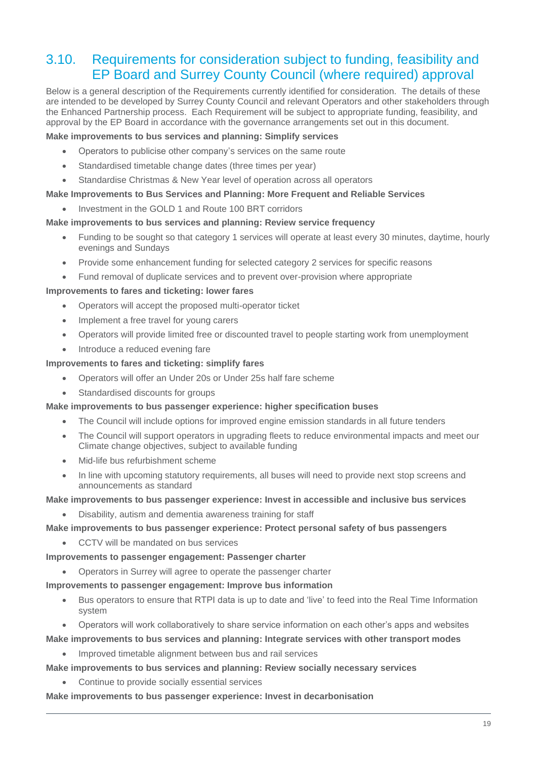## 3.10. Requirements for consideration subject to funding, feasibility and EP Board and Surrey County Council (where required) approval

Below is a general description of the Requirements currently identified for consideration. The details of these are intended to be developed by Surrey County Council and relevant Operators and other stakeholders through the Enhanced Partnership process. Each Requirement will be subject to appropriate funding, feasibility, and approval by the EP Board in accordance with the governance arrangements set out in this document.

#### **Make improvements to bus services and planning: Simplify services**

- Operators to publicise other company's services on the same route
- Standardised timetable change dates (three times per year)
- Standardise Christmas & New Year level of operation across all operators

#### **Make Improvements to Bus Services and Planning: More Frequent and Reliable Services**

• Investment in the GOLD 1 and Route 100 BRT corridors

#### **Make improvements to bus services and planning: Review service frequency**

- Funding to be sought so that category 1 services will operate at least every 30 minutes, daytime, hourly evenings and Sundays
- Provide some enhancement funding for selected category 2 services for specific reasons
- Fund removal of duplicate services and to prevent over-provision where appropriate

#### **Improvements to fares and ticketing: lower fares**

- Operators will accept the proposed multi-operator ticket
- Implement a free travel for young carers
- Operators will provide limited free or discounted travel to people starting work from unemployment
- Introduce a reduced evening fare

#### **Improvements to fares and ticketing: simplify fares**

- Operators will offer an Under 20s or Under 25s half fare scheme
- Standardised discounts for groups

#### **Make improvements to bus passenger experience: higher specification buses**

- The Council will include options for improved engine emission standards in all future tenders
- The Council will support operators in upgrading fleets to reduce environmental impacts and meet our Climate change objectives, subject to available funding
- Mid-life bus refurbishment scheme
- In line with upcoming statutory requirements, all buses will need to provide next stop screens and announcements as standard

#### **Make improvements to bus passenger experience: Invest in accessible and inclusive bus services**

• Disability, autism and dementia awareness training for staff

#### **Make improvements to bus passenger experience: Protect personal safety of bus passengers**

• CCTV will be mandated on bus services

#### **Improvements to passenger engagement: Passenger charter**

• Operators in Surrey will agree to operate the passenger charter

#### **Improvements to passenger engagement: Improve bus information**

- Bus operators to ensure that RTPI data is up to date and 'live' to feed into the Real Time Information system
- Operators will work collaboratively to share service information on each other's apps and websites

### **Make improvements to bus services and planning: Integrate services with other transport modes**

• Improved timetable alignment between bus and rail services

#### **Make improvements to bus services and planning: Review socially necessary services**

Continue to provide socially essential services

#### **Make improvements to bus passenger experience: Invest in decarbonisation**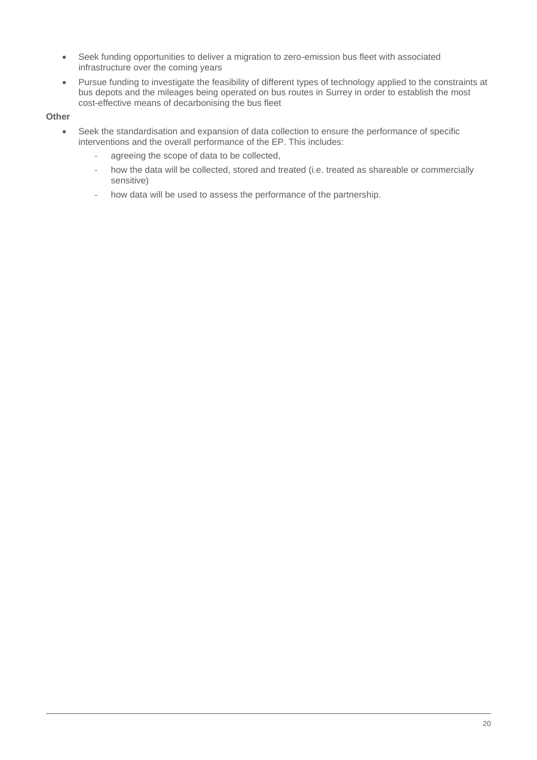- Seek funding opportunities to deliver a migration to zero-emission bus fleet with associated infrastructure over the coming years
- Pursue funding to investigate the feasibility of different types of technology applied to the constraints at bus depots and the mileages being operated on bus routes in Surrey in order to establish the most cost-effective means of decarbonising the bus fleet

#### **Other**

- Seek the standardisation and expansion of data collection to ensure the performance of specific interventions and the overall performance of the EP. This includes:
	- ‐ agreeing the scope of data to be collected,
	- ‐ how the data will be collected, stored and treated (i.e. treated as shareable or commercially sensitive)
	- ‐ how data will be used to assess the performance of the partnership.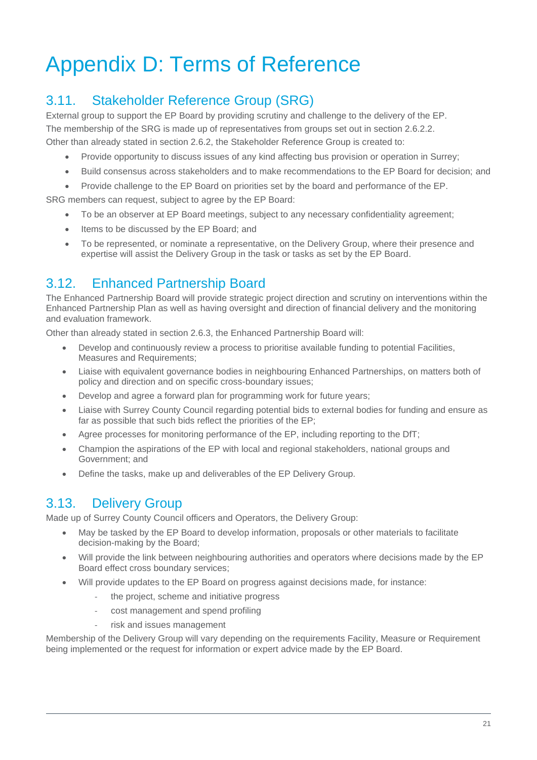# Appendix D: Terms of Reference

# 3.11. Stakeholder Reference Group (SRG)

External group to support the EP Board by providing scrutiny and challenge to the delivery of the EP. The membership of the SRG is made up of representatives from groups set out in section 2.6.2.2.

Other than already stated in section 2.6.2, the Stakeholder Reference Group is created to:

- Provide opportunity to discuss issues of any kind affecting bus provision or operation in Surrey;
- Build consensus across stakeholders and to make recommendations to the EP Board for decision; and
- Provide challenge to the EP Board on priorities set by the board and performance of the EP.

SRG members can request, subject to agree by the EP Board:

- To be an observer at EP Board meetings, subject to any necessary confidentiality agreement;
- Items to be discussed by the EP Board; and
- To be represented, or nominate a representative, on the Delivery Group, where their presence and expertise will assist the Delivery Group in the task or tasks as set by the EP Board.

# 3.12. Enhanced Partnership Board

The Enhanced Partnership Board will provide strategic project direction and scrutiny on interventions within the Enhanced Partnership Plan as well as having oversight and direction of financial delivery and the monitoring and evaluation framework.

Other than already stated in section 2.6.3, the Enhanced Partnership Board will:

- Develop and continuously review a process to prioritise available funding to potential Facilities, Measures and Requirements;
- Liaise with equivalent governance bodies in neighbouring Enhanced Partnerships, on matters both of policy and direction and on specific cross-boundary issues;
- Develop and agree a forward plan for programming work for future vears;
- Liaise with Surrey County Council regarding potential bids to external bodies for funding and ensure as far as possible that such bids reflect the priorities of the EP;
- Agree processes for monitoring performance of the EP, including reporting to the DfT;
- Champion the aspirations of the EP with local and regional stakeholders, national groups and Government; and
- Define the tasks, make up and deliverables of the EP Delivery Group.

# 3.13. Delivery Group

Made up of Surrey County Council officers and Operators, the Delivery Group:

- May be tasked by the EP Board to develop information, proposals or other materials to facilitate decision-making by the Board;
- Will provide the link between neighbouring authorities and operators where decisions made by the EP Board effect cross boundary services;
- Will provide updates to the EP Board on progress against decisions made, for instance:
	- the project, scheme and initiative progress
	- ‐ cost management and spend profiling
	- risk and issues management

Membership of the Delivery Group will vary depending on the requirements Facility, Measure or Requirement being implemented or the request for information or expert advice made by the EP Board.